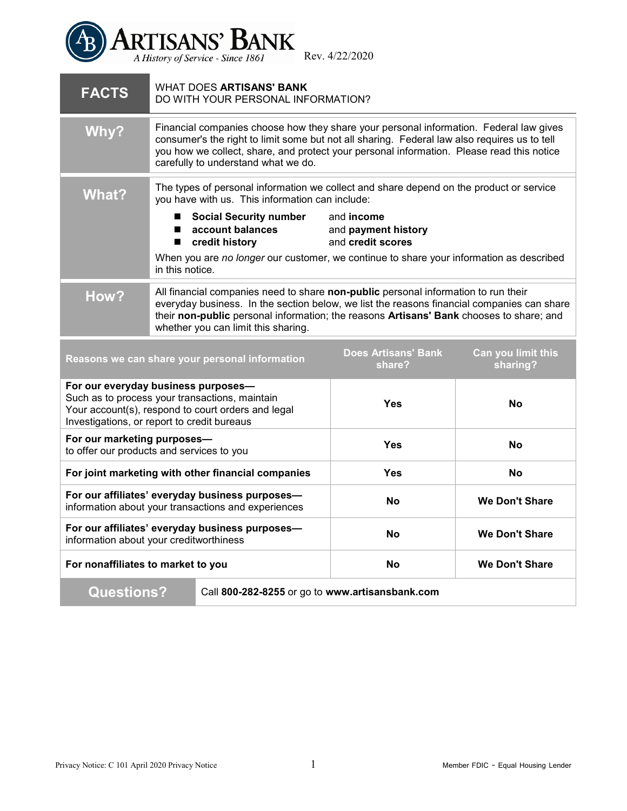

Rev. 4/22/2020

| <b>FACTS</b>                                                         | WHAT DOES <b>ARTISANS' BANK</b><br>DO WITH YOUR PERSONAL INFORMATION?                                                                                                                                                                                                                                                      |                                                               |                                |
|----------------------------------------------------------------------|----------------------------------------------------------------------------------------------------------------------------------------------------------------------------------------------------------------------------------------------------------------------------------------------------------------------------|---------------------------------------------------------------|--------------------------------|
| Why?                                                                 | Financial companies choose how they share your personal information. Federal law gives<br>consumer's the right to limit some but not all sharing. Federal law also requires us to tell<br>you how we collect, share, and protect your personal information. Please read this notice<br>carefully to understand what we do. |                                                               |                                |
| What?                                                                | The types of personal information we collect and share depend on the product or service<br>you have with us. This information can include:                                                                                                                                                                                 |                                                               |                                |
|                                                                      | ■ Social Security number<br>account balances<br>■<br>credit history                                                                                                                                                                                                                                                        | and <b>income</b><br>and payment history<br>and credit scores |                                |
|                                                                      | When you are no longer our customer, we continue to share your information as described<br>in this notice.                                                                                                                                                                                                                 |                                                               |                                |
| How?                                                                 | All financial companies need to share non-public personal information to run their<br>everyday business. In the section below, we list the reasons financial companies can share<br>their non-public personal information; the reasons Artisans' Bank chooses to share; and<br>whether you can limit this sharing.         |                                                               |                                |
|                                                                      | Reasons we can share your personal information                                                                                                                                                                                                                                                                             | <b>Does Artisans' Bank</b><br>share?                          | Can you limit this<br>sharing? |
|                                                                      | For our everyday business purposes-<br>Such as to process your transactions, maintain<br>Your account(s), respond to court orders and legal<br>Investigations, or report to credit bureaus                                                                                                                                 | Yes                                                           | <b>No</b>                      |
| For our marketing purposes-                                          | to offer our products and services to you                                                                                                                                                                                                                                                                                  | <b>Yes</b>                                                    | <b>No</b>                      |
|                                                                      | For joint marketing with other financial companies                                                                                                                                                                                                                                                                         | <b>Yes</b>                                                    | <b>No</b>                      |
|                                                                      | For our affiliates' everyday business purposes-<br>information about your transactions and experiences                                                                                                                                                                                                                     | Nο                                                            | <b>We Don't Share</b>          |
|                                                                      | For our affiliates' everyday business purposes-<br>information about your creditworthiness                                                                                                                                                                                                                                 | <b>No</b>                                                     | <b>We Don't Share</b>          |
| For nonaffiliates to market to you                                   |                                                                                                                                                                                                                                                                                                                            | <b>No</b>                                                     | <b>We Don't Share</b>          |
| <b>Questions?</b><br>Call 800-282-8255 or go to www.artisansbank.com |                                                                                                                                                                                                                                                                                                                            |                                                               |                                |